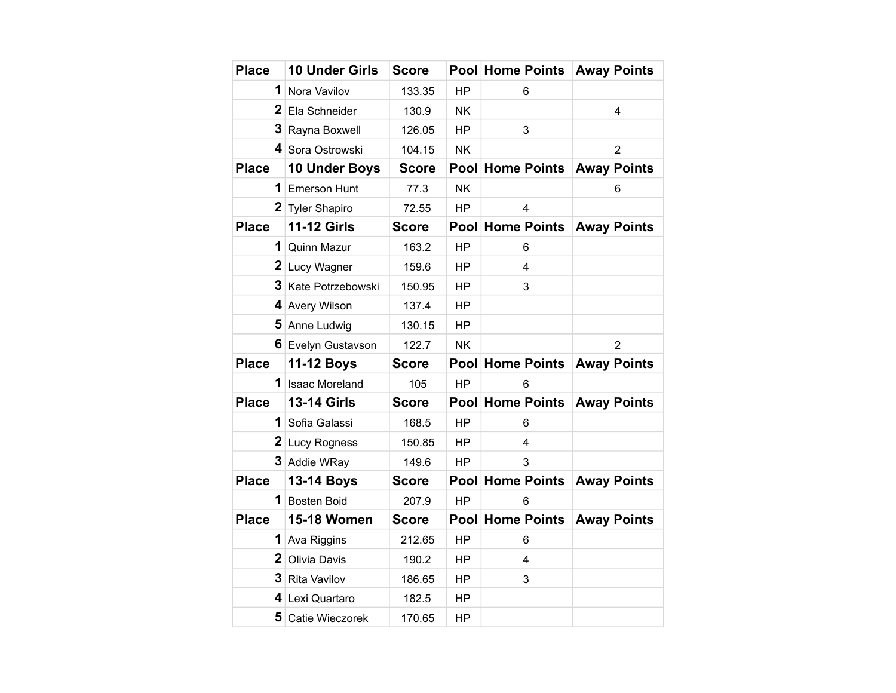| <b>Place</b>   | <b>10 Under Girls</b> | <b>Score</b> |           | Pool Home Points        | <b>Away Points</b>      |
|----------------|-----------------------|--------------|-----------|-------------------------|-------------------------|
| 1              | Nora Vavilov          | 133.35       | <b>HP</b> | 6                       |                         |
|                | 2 Ela Schneider       | 130.9        | <b>NK</b> |                         | $\overline{\mathbf{4}}$ |
|                | 3 Rayna Boxwell       | 126.05       | <b>HP</b> | 3                       |                         |
|                | 4 Sora Ostrowski      | 104.15       | <b>NK</b> |                         | $\overline{2}$          |
| <b>Place</b>   | <b>10 Under Boys</b>  | <b>Score</b> |           | Pool Home Points        | <b>Away Points</b>      |
| 1              | <b>Emerson Hunt</b>   | 77.3         | <b>NK</b> |                         | 6                       |
|                | 2 Tyler Shapiro       | 72.55        | <b>HP</b> | 4                       |                         |
| <b>Place</b>   | <b>11-12 Girls</b>    | <b>Score</b> |           | Pool Home Points        | <b>Away Points</b>      |
| 1              | Quinn Mazur           | 163.2        | <b>HP</b> | 6                       |                         |
|                | 2 Lucy Wagner         | 159.6        | <b>HP</b> | 4                       |                         |
| 3 <sup>1</sup> | Kate Potrzebowski     | 150.95       | <b>HP</b> | 3                       |                         |
|                | 4 Avery Wilson        | 137.4        | <b>HP</b> |                         |                         |
|                | 5 Anne Ludwig         | 130.15       | HP        |                         |                         |
|                | 6 Evelyn Gustavson    | 122.7        | <b>NK</b> |                         | $\overline{2}$          |
| <b>Place</b>   | 11-12 Boys            | <b>Score</b> |           | Pool Home Points        | <b>Away Points</b>      |
|                | 1 Isaac Moreland      | 105          | <b>HP</b> | 6                       |                         |
| <b>Place</b>   | <b>13-14 Girls</b>    | <b>Score</b> |           | <b>Pool Home Points</b> | <b>Away Points</b>      |
| 1              | Sofia Galassi         | 168.5        | <b>HP</b> | 6                       |                         |
|                | 2 Lucy Rogness        | 150.85       | <b>HP</b> | 4                       |                         |
|                | 3 Addie WRay          | 149.6        | <b>HP</b> | 3                       |                         |
| <b>Place</b>   | 13-14 Boys            | <b>Score</b> |           | <b>Pool Home Points</b> | <b>Away Points</b>      |
|                | 1 Bosten Boid         | 207.9        | <b>HP</b> | 6                       |                         |
| <b>Place</b>   | 15-18 Women           | <b>Score</b> |           | Pool Home Points        | <b>Away Points</b>      |
| 1              | Ava Riggins           | 212.65       | <b>HP</b> | 6                       |                         |
| $\mathbf{2}$   | Olivia Davis          | 190.2        | <b>HP</b> | $\overline{\mathbf{4}}$ |                         |
|                | 3 Rita Vavilov        | 186.65       | <b>HP</b> | 3                       |                         |
|                | 4 Lexi Quartaro       | 182.5        | <b>HP</b> |                         |                         |
| 5              | Catie Wieczorek       | 170.65       | <b>HP</b> |                         |                         |